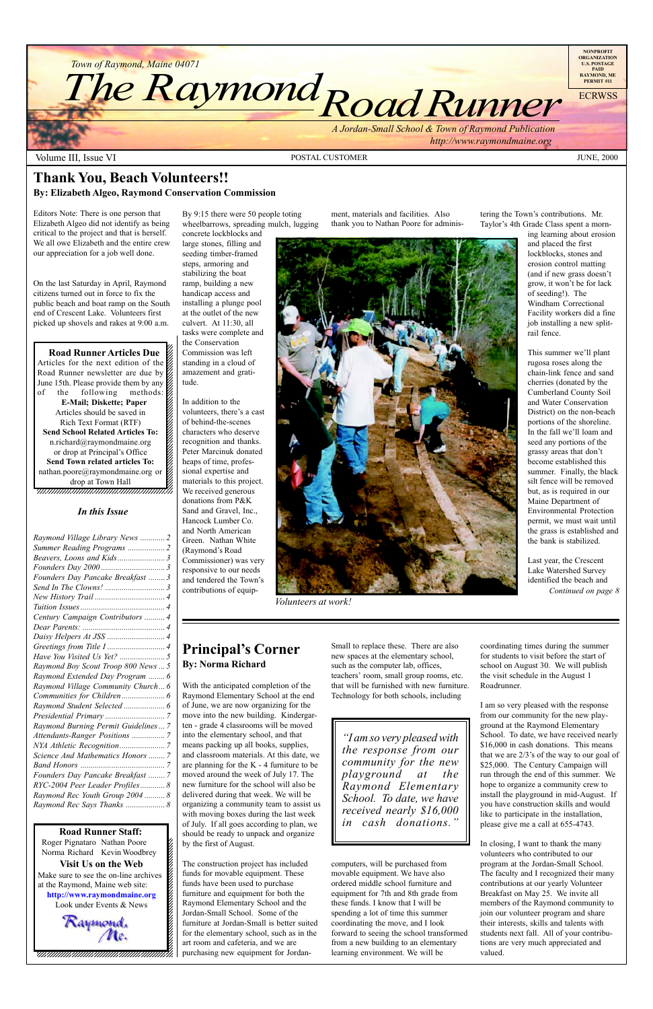12345678901234567890123456789012345678901234567890123456789012345678901234567890123456789012345678901234567890 12345678901234567890123456789012123456789012345678

**Road Runner Articles Due**  $1235678901234567890123456789012345678901234567890123456789012345678901234567890123456789012345678901234567890123456789012345678901234567890123456789012345678901234567890123456789012345678901234567890123456789012345678901$ Articles for the next edition of the  $\%$ Road Runner newsletter are due by June 15th. Please provide them by any  $\mathscr{L}$  $1235678901234567890123456789012345678901234567890123456789012345678901234567890123456789012345678901234567890123456789012345678901234567890123456789012345678901234567890123456789012345678901234567890123456789012345678901$ of the following methods:  $\%$ **E-Mail; Diskette; Paper** 12345678901234567890123456789012123456789012345678 Articles should be saved in  $\mathscr{C}$ Rich Text Format (RTF) 12345678901234567890123456789012123456789012345678 **Send School Related Articles To:**  $n.richard@raymondmaine.org$ or drop at Principal's Office  $\mathscr{L}$ Send Town related articles To: nathan.poore@raymondmaine.org or  $\mathscr{D}$ 12345678901234567890123456789012123456789012345678 drop at Town Hall  $\mathscr{C}$ 12345678901234567890123456789012123456789012345678 12345678901234567890123456789012123456789012345678



12345678901234567890123456789012345678901234567890123456789012345678901234567890123456789012345678901234567890 **Road Runner Staff:**

Roger Pignataro Nathan Poore & 12345678901234567890123456789012123456789012345678 Norma Richard Kevin Woodbrey  $\frac{2}{3}$  $18.8$ **Visit Us on the Web** 12345678901234567890123456789012123456789012345678 Make sure to see the on-line archives  $\%$ at the Raymond, Maine web site:  $\&$ 12345678901234567890123456789012123456789012345678 **http://www.raymondmaine.org** Look under Events  $&$  News 12345678901234567890123456789012123456789012345678 Raymond.<br>Me.

#### **Principal's Corner By: Norma Richard**

12345678901234567890123456789012123456789012345678  $18.8$  8  $\pm$  8  $\pm$  8  $\pm$  8  $\pm$  8  $\pm$  8  $\pm$  8  $\pm$  8  $\pm$  8  $\pm$  8  $\pm$  8  $\pm$  8  $\pm$  8  $\pm$  8  $\pm$  8  $\pm$  8  $\pm$  8  $\pm$  8  $\pm$  8  $\pm$  8  $\pm$  8  $\pm$  8  $\pm$  8  $\pm$  8  $\pm$  8  $\pm$  8  $\pm$  8  $\pm$  8  $\pm$  8  $\pm$  8  $\pm$  8  $\$ 12345678901234567890123456789012123456789012345678 12345678901234567890123456789012123456789012345678 12345678901234567890123456789012123456789012345678

This summer we'll plant rugosa roses along the chain-link fence and sand cherries (donated by the Cumberland County Soil and Water Conservation District) on the non-beach portions of the shoreline. In the fall we'll loam and seed any portions of the grassy areas that don't become established this summer. Finally, the black silt fence will be removed but, as is required in our Maine Department of Environmental Protection permit, we must wait until the grass is established and the bank is stabilized.

*the response from our community for the new playground at the Raymond Elementary School. To date, we have received nearly \$16,000* in cash donations.<sup>"</sup>

With the anticipated completion of the Raymond Elementary School at the end of June, we are now organizing for the move into the new building. Kindergarten - grade 4 classrooms will be moved into the elementary school, and that means packing up all books, supplies, and classroom materials. At this date, we are planning for the K - 4 furniture to be moved around the week of July 17. The new furniture for the school will also be delivered during that week. We will be organizing a community team to assist us with moving boxes during the last week of July. If all goes according to plan, we should be ready to unpack and organize by the first of August.

The construction project has included funds for movable equipment. These funds have been used to purchase furniture and equipment for both the Raymond Elementary School and the Jordan-Small School. Some of the furniture at Jordan-Small is better suited for the elementary school, such as in the art room and cafeteria, and we are purchasing new equipment for JordanSmall to replace these. There are also new spaces at the elementary school, such as the computer lab, offices, teachers' room, small group rooms, etc. that will be furnished with new furniture. Technology for both schools, including

computers, will be purchased from movable equipment. We have also ordered middle school furniture and equipment for 7th and 8th grade from these funds. I know that I will be spending a lot of time this summer coordinating the move, and I look forward to seeing the school transformed from a new building to an elementary learning environment. We will be

coordinating times during the summer for students to visit before the start of school on August 30. We will publish the visit schedule in the August 1 Roadrunner.

I am so very pleased with the response from our community for the new playground at the Raymond Elementary School. To date, we have received nearly \$16,000 in cash donations. This means that we are  $2/3$ 's of the way to our goal of \$25,000. The Century Campaign will run through the end of this summer. We hope to organize a community crew to install the playground in mid-August. If you have construction skills and would like to participate in the installation, please give me a call at 655-4743.

In closing, I want to thank the many volunteers who contributed to our program at the Jordan-Small School. The faculty and I recognized their many contributions at our yearly Volunteer Breakfast on May 25. We invite all members of the Raymond community to join our volunteer program and share their interests, skills and talents with students next fall. All of your contributions are very much appreciated and valued.

### **Thank You, Beach Volunteers!! By: Elizabeth Algeo, Raymond Conservation Commission**

By 9:15 there were 50 people toting wheelbarrows, spreading mulch, lugging concrete lockblocks and

large stones, filling and seeding timber-framed steps, armoring and stabilizing the boat ramp, building a new handicap access and installing a plunge pool at the outlet of the new culvert. At 11:30, all tasks were complete and the Conservation Commission was left standing in a cloud of amazement and gratitude.

In addition to the volunteers, there's a cast of behind-the-scenes characters who deserve recognition and thanks. Peter Marcinuk donated heaps of time, professional expertise and materials to this project. We received generous donations from P&K Sand and Gravel, Inc., Hancock Lumber Co. and North American Green. Nathan White (Raymond's Road) Commissioner) was very responsive to our needs and tendered the Town's contributions of equip-

ment, materials and facilities. Also thank you to Nathan Poore for adminis-

Editors Note: There is one person that Elizabeth Algeo did not identify as being critical to the project and that is herself. We all owe Elizabeth and the entire crew our appreciation for a job well done.

On the last Saturday in April, Raymond citizens turned out in force to fix the public beach and boat ramp on the South end of Crescent Lake. Volunteers first picked up shovels and rakes at 9:00 a.m.

ing learning about erosion and placed the first lockblocks, stones and erosion control matting (and if new grass doesn't grow, it won't be for lack of seeding!). The Windham Correctional Facility workers did a fine job installing a new splitrail fence.

*Volunteers at work!*

tering the Town's contributions. Mr. Taylor's 4th Grade Class spent a morn-

*ìI am so very pleased with*

Last year, the Crescent Lake Watershed Survey identified the beach and *Continued on page 8*

#### *In this Issue*

| Raymond Village Library News  2      |  |
|--------------------------------------|--|
| Summer Reading Programs  2           |  |
|                                      |  |
|                                      |  |
| Founders Day Pancake Breakfast  3    |  |
|                                      |  |
|                                      |  |
|                                      |  |
| Century Campaign Contributors  4     |  |
|                                      |  |
|                                      |  |
|                                      |  |
|                                      |  |
| Raymond Boy Scout Troop 800 News  5  |  |
| Raymond Extended Day Program  6      |  |
| Raymond Village Community Church 6   |  |
|                                      |  |
| Raymond Student Selected  6          |  |
|                                      |  |
| Raymond Burning Permit Guidelines  7 |  |
|                                      |  |
|                                      |  |
| Science And Mathematics Honors  7    |  |
|                                      |  |
| Founders Day Pancake Breakfast  7    |  |
| RYC-2004 Peer Leader Profiles 8      |  |
| Raymond Rec Youth Group 2004  8      |  |
| Raymond Rec Says Thanks  8           |  |
|                                      |  |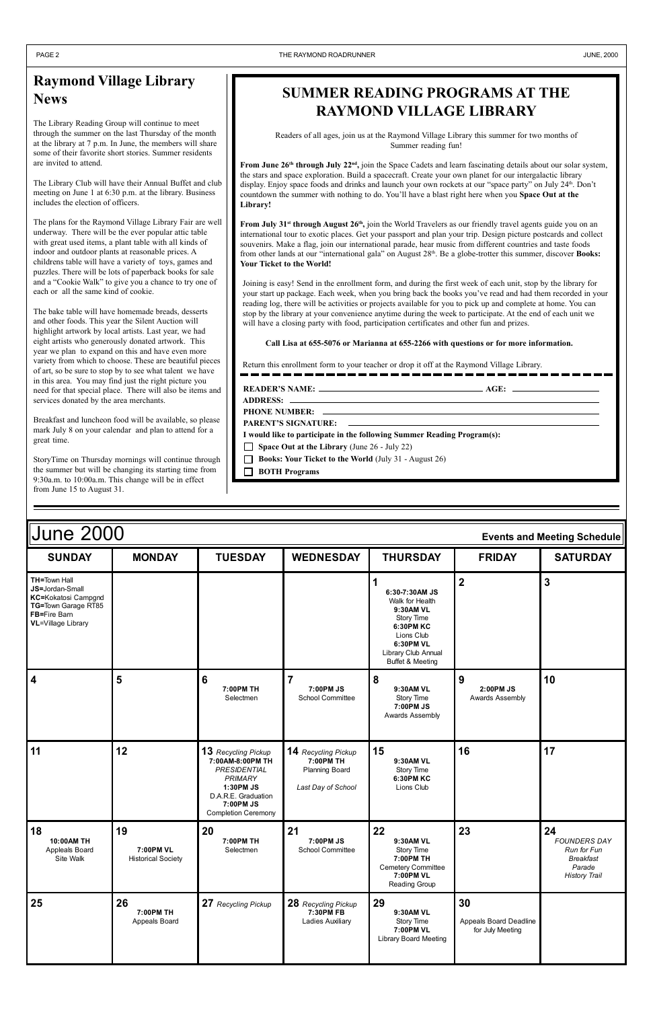| <b>June 2000</b><br><b>Events and Meeting Schedule</b>                                                                            |                                              |                                                                                                                                                          |                                                                                 |                                                                                                                                                             |                                                  |                                                                                                |  |
|-----------------------------------------------------------------------------------------------------------------------------------|----------------------------------------------|----------------------------------------------------------------------------------------------------------------------------------------------------------|---------------------------------------------------------------------------------|-------------------------------------------------------------------------------------------------------------------------------------------------------------|--------------------------------------------------|------------------------------------------------------------------------------------------------|--|
| <b>SUNDAY</b>                                                                                                                     | <b>MONDAY</b>                                | <b>TUESDAY</b>                                                                                                                                           | <b>WEDNESDAY</b>                                                                | <b>THURSDAY</b>                                                                                                                                             | <b>FRIDAY</b>                                    | <b>SATURDAY</b>                                                                                |  |
| <b>TH=Town Hall</b><br>JS=Jordan-Small<br>KC=Kokatosi Campgnd<br>TG=Town Garage RT85<br>FB=Fire Barn<br><b>VL=Village Library</b> |                                              |                                                                                                                                                          |                                                                                 | 1<br>6:30-7:30AM JS<br>Walk for Health<br>9:30AM VL<br>Story Time<br><b>6:30PM KC</b><br>Lions Club<br>6:30PM VL<br>Library Club Annual<br>Buffet & Meeting | $\boldsymbol{2}$                                 | $\mathbf{3}$                                                                                   |  |
| $\vert$ 4                                                                                                                         | 5                                            | 6<br>7:00PM TH<br>Selectmen                                                                                                                              | $\overline{7}$<br>7:00PM JS<br>School Committee                                 | 8<br>9:30AM VL<br>Story Time<br>7:00PM JS<br>Awards Assembly                                                                                                | 9<br>2:00PM JS<br>Awards Assembly                | 10                                                                                             |  |
| 11                                                                                                                                | 12                                           | 13 Recycling Pickup<br>7:00AM-8:00PM TH<br>PRESIDENTIAL<br><b>PRIMARY</b><br>1:30PM JS<br>D.A.R.E. Graduation<br>7:00PM JS<br><b>Completion Ceremony</b> | 14 Recycling Pickup<br>7:00PM TH<br><b>Planning Board</b><br>Last Day of School | 15<br>9:30AM VL<br>Story Time<br><b>6:30PM KC</b><br>Lions Club                                                                                             | 16                                               | 17                                                                                             |  |
| 18<br>10:00AM TH<br>Appleals Board<br>Site Walk                                                                                   | 19<br>7:00PM VL<br><b>Historical Society</b> | 20<br>7:00PM TH<br>Selectmen                                                                                                                             | 21<br>7:00PM JS<br>School Committee                                             | 22<br>9:30AM VL<br>Story Time<br>7:00PM TH<br><b>Cemetery Committee</b><br>7:00PM VL<br>Reading Group                                                       | 23                                               | 24<br><b>FOUNDERS DAY</b><br>Run for Fun<br><b>Breakfast</b><br>Parade<br><b>History Trail</b> |  |
| 25                                                                                                                                | 26<br>7:00PM TH<br>Appeals Board             | 27 Recycling Pickup                                                                                                                                      | 28 Recycling Pickup<br>7:30PM FB<br><b>Ladies Auxiliary</b>                     | 29<br>9:30AM VL<br>Story Time<br>7:00PM VL<br><b>Library Board Meeting</b>                                                                                  | 30<br>Appeals Board Deadline<br>for July Meeting |                                                                                                |  |

**From July 31<sup>st</sup> through August 26<sup>th</sup>,** join the World Travelers as our friendly travel agents guide you on an international tour to exotic places. Get your passport and plan your trip. Design picture postcards and collect souvenirs. Make a flag, join our international parade, hear music from different countries and taste foods from other lands at our "international gala" on August 28<sup>th</sup>. Be a globe-trotter this summer, discover **Books: Your Ticket to the World!**

## **SUMMER READING PROGRAMS AT THE RAYMOND VILLAGE LIBRARY**

Readers of all ages, join us at the Raymond Village Library this summer for two months of Summer reading fun!

- **Space Out at the Library (June 26 July 22)**
- **Books: Your Ticket to the World (July 31 August 26)**
- **BOTH Programs**

**From June 26th through July 22nd,** join the Space Cadets and learn fascinating details about our solar system, the stars and space exploration. Build a spacecraft. Create your own planet for our intergalactic library display. Enjoy space foods and drinks and launch your own rockets at our "space party" on July 24<sup>th</sup>. Don't countdown the summer with nothing to do. You'll have a blast right here when you **Space Out at the Library!**

Joining is easy! Send in the enrollment form, and during the first week of each unit, stop by the library for your start up package. Each week, when you bring back the books you've read and had them recorded in your reading log, there will be activities or projects available for you to pick up and complete at home. You can stop by the library at your convenience anytime during the week to participate. At the end of each unit we will have a closing party with food, participation certificates and other fun and prizes.

**Call Lisa at 655-5076 or Marianna at 655-2266 with questions or for more information.**

Return this enrollment form to your teacher or drop it off at the Raymond Village Library.

**READERíS NAME: AGE:**

**ADDRESS:**

**PHONE NUMBER: PARENTíS SIGNATURE:**

**I would like to participate in the following Summer Reading Program(s):**

## **Raymond Village Library News**

The Library Reading Group will continue to meet through the summer on the last Thursday of the month at the library at 7 p.m. In June, the members will share some of their favorite short stories. Summer residents are invited to attend.

The Library Club will have their Annual Buffet and club meeting on June 1 at 6:30 p.m. at the library. Business includes the election of officers.

The plans for the Raymond Village Library Fair are well underway. There will be the ever popular attic table with great used items, a plant table with all kinds of indoor and outdoor plants at reasonable prices. A childrens table will have a variety of toys, games and puzzles. There will be lots of paperback books for sale and a "Cookie Walk" to give you a chance to try one of each or all the same kind of cookie.

The bake table will have homemade breads, desserts and other foods. This year the Silent Auction will highlight artwork by local artists. Last year, we had eight artists who generously donated artwork. This year we plan to expand on this and have even more variety from which to choose. These are beautiful pieces of art, so be sure to stop by to see what talent we have in this area. You may find just the right picture you need for that special place. There will also be items and services donated by the area merchants.

Breakfast and luncheon food will be available, so please mark July 8 on your calendar and plan to attend for a great time.

StoryTime on Thursday mornings will continue through the summer but will be changing its starting time from 9:30a.m. to 10:00a.m. This change will be in effect from June 15 to August 31.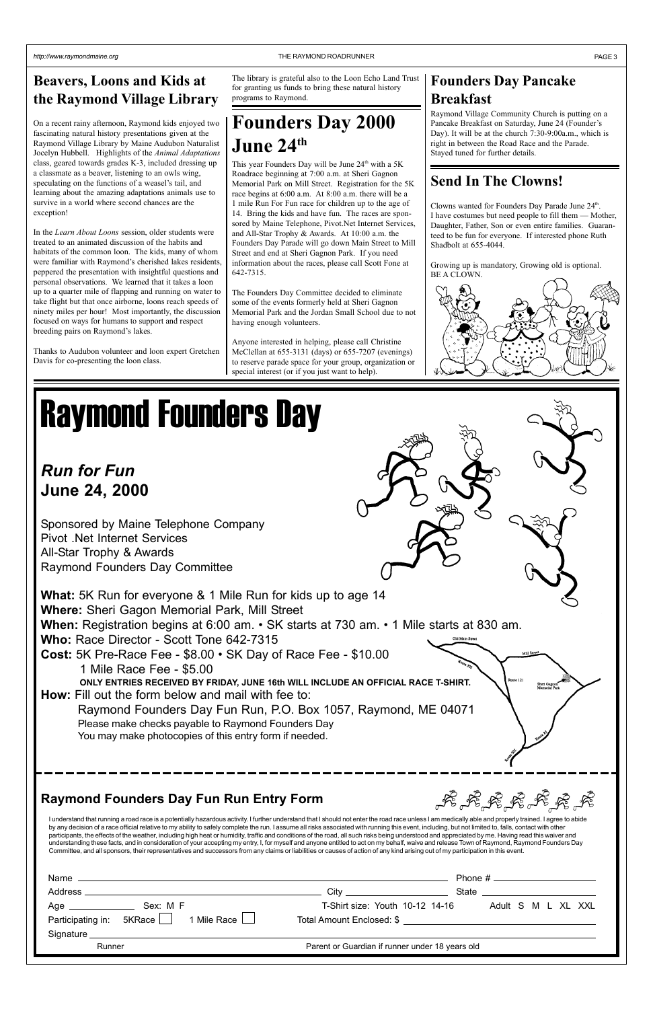## Raymond Founders Day *Run for Fun* **June 24, 2000** Sponsored by Maine Telephone Company Pivot .Net Internet Services All-Star Trophy & Awards Raymond Founders Day Committee **What:** 5K Run for everyone & 1 Mile Run for kids up to age 14 **Where:** Sheri Gagon Memorial Park, Mill Street **When:** Registration begins at 6:00 am. • SK starts at 730 am. • 1 Mile starts at 830 am. **Who:** Race Director - Scott Tone 642-7315 Cost: 5K Pre-Race Fee - \$8.00 · SK Day of Race Fee - \$10.00 1 Mile Race Fee - \$5.00 **ONLY ENTRIES RECEIVED BY FRIDAY, JUNE 16th WILL INCLUDE AN OFFICIAL RACE T-SHIRT.** Sheri Gagno<br>Mamarial Ba **How:** Fill out the form below and mail with fee to: Raymond Founders Day Fun Run, P.O. Box 1057, Raymond, ME 04071 Please make checks payable to Raymond Founders Day You may make photocopies of this entry form if needed.

### **Raymond Founders Day Fun Run Entry Form**



I understand that running a road race is a potentially hazardous activity. I further understand that I should not enter the road race unless I am medically able and properly trained. I agree to abide by any decision of a race official relative to my ability to safely complete the run. I assume all risks associated with running this event, including, but not limited to, falls, contact with other participants, the effects of the weather, including high heat or humidity, traffic and conditions of the road, all such risks being understood and appreciated by me. Having read this waiver and understanding these facts, and in consideration of your accepting my entry, I, for myself and anyone entitled to act on my behalf, waive and release Town of Raymond, Raymond Founders Day Committee, and all sponsors, their representatives and successors from any claims or liabilities or causes of action of any kind arising out of my participation in this event.

This year Founders Day will be June 24<sup>th</sup> with a 5K Roadrace beginning at 7:00 a.m. at Sheri Gagnon Memorial Park on Mill Street. Registration for the 5K race begins at 6:00 a.m. At 8:00 a.m. there will be a 1 mile Run For Fun race for children up to the age of 14. Bring the kids and have fun. The races are sponsored by Maine Telephone, Pivot.Net Internet Services, and All-Star Trophy & Awards. At 10:00 a.m. the Founders Day Parade will go down Main Street to Mill Street and end at Sheri Gagnon Park. If you need information about the races, please call Scott Fone at 642-7315.

Clowns wanted for Founders Day Parade June 24<sup>th</sup>. I have costumes but need people to fill them — Mother, Daughter, Father, Son or even entire families. Guaranteed to be fun for everyone. If interested phone Ruth Shadbolt at 655-4044.

|                                        | City _________________________                        |  |  |  |
|----------------------------------------|-------------------------------------------------------|--|--|--|
| Participating in: 5KRace 1 Mile Race □ | T-Shirt size: Youth 10-12 14-16<br>Adult S M L XL XXL |  |  |  |
| Runner                                 | Parent or Guardian if runner under 18 years old       |  |  |  |
|                                        |                                                       |  |  |  |

# **Founders Day 2000 June 24th**

In the *Learn About Loons* session, older students were treated to an animated discussion of the habits and habitats of the common loon. The kids, many of whom were familiar with Raymond's cherished lakes residents, peppered the presentation with insightful questions and personal observations. We learned that it takes a loon up to a quarter mile of flapping and running on water to take flight but that once airborne, loons reach speeds of ninety miles per hour! Most importantly, the discussion focused on ways for humans to support and respect breeding pairs on Raymond's lakes.

The Founders Day Committee decided to eliminate some of the events formerly held at Sheri Gagnon Memorial Park and the Jordan Small School due to not having enough volunteers.

Anyone interested in helping, please call Christine McClellan at 655-3131 (days) or 655-7207 (evenings) to reserve parade space for your group, organization or special interest (or if you just want to help).

## **Send In The Clowns!**

Growing up is mandatory, Growing old is optional. BE A CLOWN.



## **Founders Day Pancake Breakfast**

Raymond Village Community Church is putting on a Pancake Breakfast on Saturday, June 24 (Founder's Day). It will be at the church 7:30-9:00a.m., which is right in between the Road Race and the Parade. Stayed tuned for further details.

## **Beavers, Loons and Kids at the Raymond Village Library**

On a recent rainy afternoon, Raymond kids enjoyed two fascinating natural history presentations given at the Raymond Village Library by Maine Audubon Naturalist Jocelyn Hubbell. Highlights of the *Animal Adaptations* class, geared towards grades K-3, included dressing up a classmate as a beaver, listening to an owls wing, speculating on the functions of a weasel's tail, and learning about the amazing adaptations animals use to survive in a world where second chances are the exception!

Thanks to Audubon volunteer and loon expert Gretchen Davis for co-presenting the loon class.

The library is grateful also to the Loon Echo Land Trust for granting us funds to bring these natural history programs to Raymond.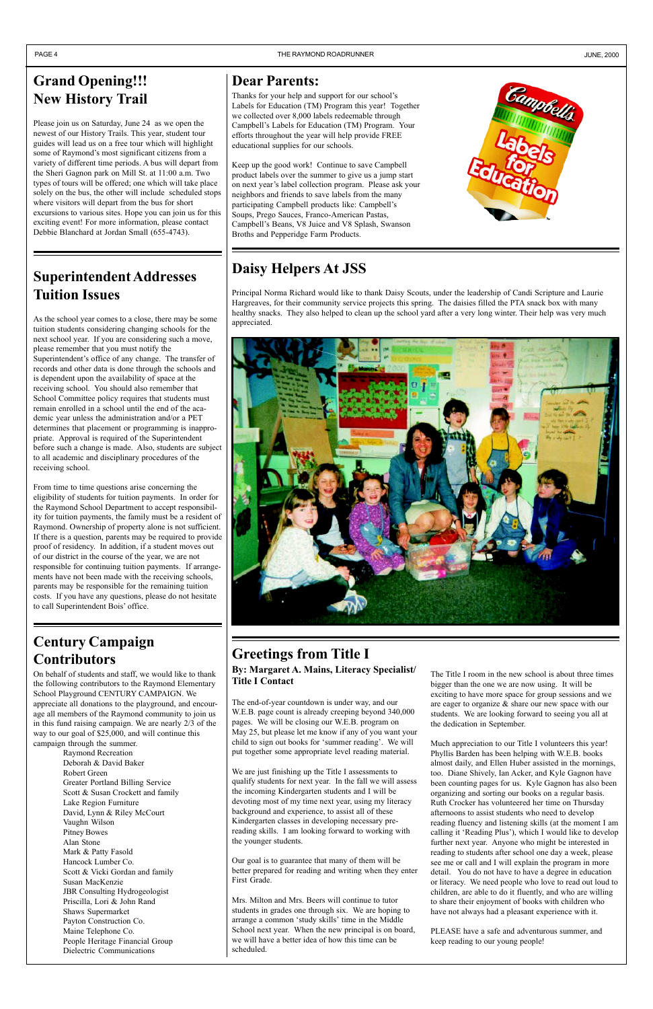## **Century Campaign Contributors**

On behalf of students and staff, we would like to thank the following contributors to the Raymond Elementary School Playground CENTURY CAMPAIGN. We appreciate all donations to the playground, and encourage all members of the Raymond community to join us in this fund raising campaign. We are nearly 2/3 of the way to our goal of \$25,000, and will continue this

campaign through the summer. Raymond Recreation Deborah & David Baker Robert Green Greater Portland Billing Service Scott & Susan Crockett and family Lake Region Furniture David, Lynn & Riley McCourt Vaughn Wilson Pitney Bowes Alan Stone Mark & Patty Fasold Hancock Lumber Co. Scott & Vicki Gordan and family Susan MacKenzie JBR Consulting Hydrogeologist Priscilla, Lori & John Rand Shaws Supermarket Payton Construction Co. Maine Telephone Co. People Heritage Financial Group Dielectric Communications

From time to time questions arise concerning the eligibility of students for tuition payments. In order for the Raymond School Department to accept responsibility for tuition payments, the family must be a resident of Raymond. Ownership of property alone is not sufficient. If there is a question, parents may be required to provide proof of residency. In addition, if a student moves out of our district in the course of the year, we are not responsible for continuing tuition payments. If arrangements have not been made with the receiving schools, parents may be responsible for the remaining tuition costs. If you have any questions, please do not hesitate to call Superintendent Bois' office.

## **Superintendent Addresses Tuition Issues**

As the school year comes to a close, there may be some tuition students considering changing schools for the next school year. If you are considering such a move, please remember that you must notify the Superintendent's office of any change. The transfer of records and other data is done through the schools and is dependent upon the availability of space at the receiving school. You should also remember that School Committee policy requires that students must remain enrolled in a school until the end of the academic year unless the administration and/or a PET determines that placement or programming is inappropriate. Approval is required of the Superintendent before such a change is made. Also, students are subject to all academic and disciplinary procedures of the receiving school.

Thanks for your help and support for our school's Labels for Education (TM) Program this year! Together we collected over 8,000 labels redeemable through Campbell's Labels for Education (TM) Program. Your efforts throughout the year will help provide FREE educational supplies for our schools.

# **Greetings from Title I**

**By: Margaret A. Mains, Literacy Specialist/ Title I Contact**

The end-of-year countdown is under way, and our W.E.B. page count is already creeping beyond 340,000 pages. We will be closing our W.E.B. program on May 25, but please let me know if any of you want your child to sign out books for 'summer reading'. We will put together some appropriate level reading material.

We are just finishing up the Title I assessments to qualify students for next year. In the fall we will assess the incoming Kindergarten students and I will be devoting most of my time next year, using my literacy background and experience, to assist all of these Kindergarten classes in developing necessary prereading skills. I am looking forward to working with the younger students.

Our goal is to guarantee that many of them will be better prepared for reading and writing when they enter First Grade.

Mrs. Milton and Mrs. Beers will continue to tutor students in grades one through six. We are hoping to arrange a common 'study skills' time in the Middle School next year. When the new principal is on board, we will have a better idea of how this time can be scheduled.

## **Daisy Helpers At JSS**

Principal Norma Richard would like to thank Daisy Scouts, under the leadership of Candi Scripture and Laurie Hargreaves, for their community service projects this spring. The daisies filled the PTA snack box with many healthy snacks. They also helped to clean up the school yard after a very long winter. Their help was very much appreciated.



## **Dear Parents:**

Keep up the good work! Continue to save Campbell product labels over the summer to give us a jump start on next year's label collection program. Please ask your neighbors and friends to save labels from the many participating Campbell products like: Campbell's Soups, Prego Sauces, Franco-American Pastas, Campbell's Beans, V8 Juice and V8 Splash, Swanson Broths and Pepperidge Farm Products.



## **Grand Opening!!! New History Trail**

Please join us on Saturday, June 24 as we open the newest of our History Trails. This year, student tour guides will lead us on a free tour which will highlight some of Raymond's most significant citizens from a variety of different time periods. A bus will depart from the Sheri Gagnon park on Mill St. at 11:00 a.m. Two types of tours will be offered; one which will take place solely on the bus, the other will include scheduled stops where visitors will depart from the bus for short excursions to various sites. Hope you can join us for this exciting event! For more information, please contact Debbie Blanchard at Jordan Small (655-4743).

> The Title I room in the new school is about three times bigger than the one we are now using. It will be exciting to have more space for group sessions and we are eager to organize & share our new space with our students. We are looking forward to seeing you all at the dedication in September.

Much appreciation to our Title I volunteers this year! Phyllis Barden has been helping with W.E.B. books almost daily, and Ellen Huber assisted in the mornings, too. Diane Shively, Ian Acker, and Kyle Gagnon have been counting pages for us. Kyle Gagnon has also been organizing and sorting our books on a regular basis. Ruth Crocker has volunteered her time on Thursday afternoons to assist students who need to develop reading fluency and listening skills (at the moment I am calling it 'Reading Plus'), which I would like to develop further next year. Anyone who might be interested in reading to students after school one day a week, please see me or call and I will explain the program in more detail. You do not have to have a degree in education or literacy. We need people who love to read out loud to children, are able to do it fluently, and who are willing to share their enjoyment of books with children who have not always had a pleasant experience with it.

PLEASE have a safe and adventurous summer, and keep reading to our young people!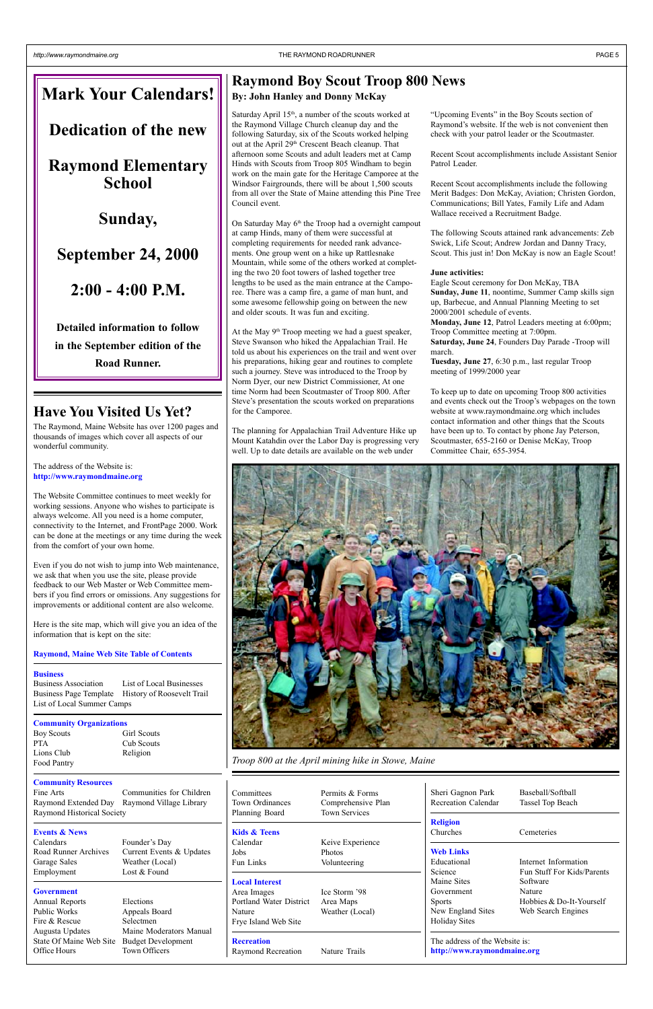### **Raymond Boy Scout Troop 800 News By: John Hanley and Donny McKay**

Saturday April 15<sup>th</sup>, a number of the scouts worked at the Raymond Village Church cleanup day and the following Saturday, six of the Scouts worked helping out at the April 29<sup>th</sup> Crescent Beach cleanup. That afternoon some Scouts and adult leaders met at Camp Hinds with Scouts from Troop 805 Windham to begin work on the main gate for the Heritage Camporee at the Windsor Fairgrounds, there will be about 1,500 scouts from all over the State of Maine attending this Pine Tree Council event.

On Saturday May  $6<sup>th</sup>$  the Troop had a overnight campout at camp Hinds, many of them were successful at completing requirements for needed rank advancements. One group went on a hike up Rattlesnake Mountain, while some of the others worked at completing the two 20 foot towers of lashed together tree lengths to be used as the main entrance at the Camporee. There was a camp fire, a game of man hunt, and some awesome fellowship going on between the new and older scouts. It was fun and exciting.

At the May 9<sup>th</sup> Troop meeting we had a guest speaker, Steve Swanson who hiked the Appalachian Trail. He told us about his experiences on the trail and went over his preparations, hiking gear and routines to complete such a journey. Steve was introduced to the Troop by Norm Dyer, our new District Commissioner, At one time Norm had been Scoutmaster of Troop 800. After Steve's presentation the scouts worked on preparations for the Camporee.

"Upcoming Events" in the Boy Scouts section of Raymond's website. If the web is not convenient then check with your patrol leader or the Scoutmaster.

The planning for Appalachian Trail Adventure Hike up Mount Katahdin over the Labor Day is progressing very well. Up to date details are available on the web under

Recent Scout accomplishments include Assistant Senior Patrol Leader.

Recent Scout accomplishments include the following Merit Badges: Don McKay, Aviation; Christen Gordon, Communications; Bill Yates, Family Life and Adam Wallace received a Recruitment Badge.

The following Scouts attained rank advancements: Zeb Swick, Life Scout; Andrew Jordan and Danny Tracy, Scout. This just in! Don McKay is now an Eagle Scout!

#### **June activities:**

Eagle Scout ceremony for Don McKay, TBA **Sunday, June 11**, noontime, Summer Camp skills sign up, Barbecue, and Annual Planning Meeting to set 2000/2001 schedule of events.

**Monday, June 12**, Patrol Leaders meeting at 6:00pm; Troop Committee meeting at 7:00pm.

**Saturday, June 24**, Founders Day Parade -Troop will march.

**Tuesday, June 27**, 6:30 p.m., last regular Troop meeting of 1999/2000 year

To keep up to date on upcoming Troop 800 activities and events check out the Troop's webpages on the town website at www.raymondmaine.org which includes contact information and other things that the Scouts have been up to. To contact by phone Jay Peterson, Scoutmaster, 655-2160 or Denise McKay, Troop Committee Chair, 655-3954.



#### *Troop 800 at the April mining hike in Stowe, Maine*

### **Have You Visited Us Yet?**

The Raymond, Maine Website has over 1200 pages and thousands of images which cover all aspects of our wonderful community.

The address of the Website is: **http://www.raymondmaine.org**

The Website Committee continues to meet weekly for working sessions. Anyone who wishes to participate is always welcome. All you need is a home computer, connectivity to the Internet, and FrontPage 2000. Work can be done at the meetings or any time during the week from the comfort of your own home.

Even if you do not wish to jump into Web maintenance, we ask that when you use the site, please provide feedback to our Web Master or Web Committee members if you find errors or omissions. Any suggestions for improvements or additional content are also welcome.

Here is the site map, which will give you an idea of the information that is kept on the site:

#### **Raymond, Maine Web Site Table of Contents**

#### **Business**

Business Association List of Local Businesses Business Page Template History of Roosevelt Trail List of Local Summer Camps

**Community Organizations**

Boy Scouts Girl Scouts

| FIA.        |
|-------------|
| Lions Club  |
| Food Pantry |

**Cub Scouts** Religion

| <b>Community Resources</b><br>Fine Arts<br>Raymond Extended Day<br>Raymond Historical Society | Communities for Children<br>Raymond Village Library                                                                                                                            | <b>Committees</b><br>Town Ordinances<br>Planning Board   | Permits & Forms<br>Comprehensive Plan<br><b>Town Services</b> | Sheri Gagnon Park<br><b>Recreation Calendar</b>                                         | Baseball/Softball<br>Tassel Top Beach                                |  |
|-----------------------------------------------------------------------------------------------|--------------------------------------------------------------------------------------------------------------------------------------------------------------------------------|----------------------------------------------------------|---------------------------------------------------------------|-----------------------------------------------------------------------------------------|----------------------------------------------------------------------|--|
| <b>Events &amp; News</b><br>Calendars                                                         | Founder's Day                                                                                                                                                                  | <b>Kids &amp; Teens</b><br>Calendar                      | Keive Experience                                              | <b>Religion</b><br>Churches                                                             | Cemeteries                                                           |  |
| Road Runner Archives<br>Garage Sales<br>Employment                                            | Current Events & Updates<br>Weather (Local)<br>Lost & Found                                                                                                                    | Jobs<br>Fun Links                                        | <b>Photos</b><br>Volunteering                                 | <b>Web Links</b><br>Educational<br>Science                                              | Internet Information<br>Fun Stuff For Kids/Parents                   |  |
| <b>Government</b><br>Annual Reports<br>Public Works<br>Fire & Rescue<br>Augusta Updates       | <b>Local Interest</b><br>Area Images<br><b>Elections</b><br>Portland Water District<br>Appeals Board<br>Nature<br>Selectmen<br>Frye Island Web Site<br>Maine Moderators Manual |                                                          | Ice Storm '98<br>Area Maps<br>Weather (Local)                 | Maine Sites<br>Government<br><b>Sports</b><br>New England Sites<br><b>Holiday Sites</b> | Software<br>Nature<br>Hobbies & Do-It-Yourself<br>Web Search Engines |  |
| State Of Maine Web Site<br><b>Budget Development</b><br>Town Officers<br>Office Hours         |                                                                                                                                                                                | <b>Recreation</b><br>Raymond Recreation<br>Nature Trails |                                                               | The address of the Website is:<br>http://www.raymondmaine.org                           |                                                                      |  |

## **Mark Your Calendars!**

**Dedication of the new**

**Raymond Elementary School**

**Sunday,**

**September 24, 2000**

**2:00 - 4:00 P.M.**

**Detailed information to follow in the September edition of the Road Runner.**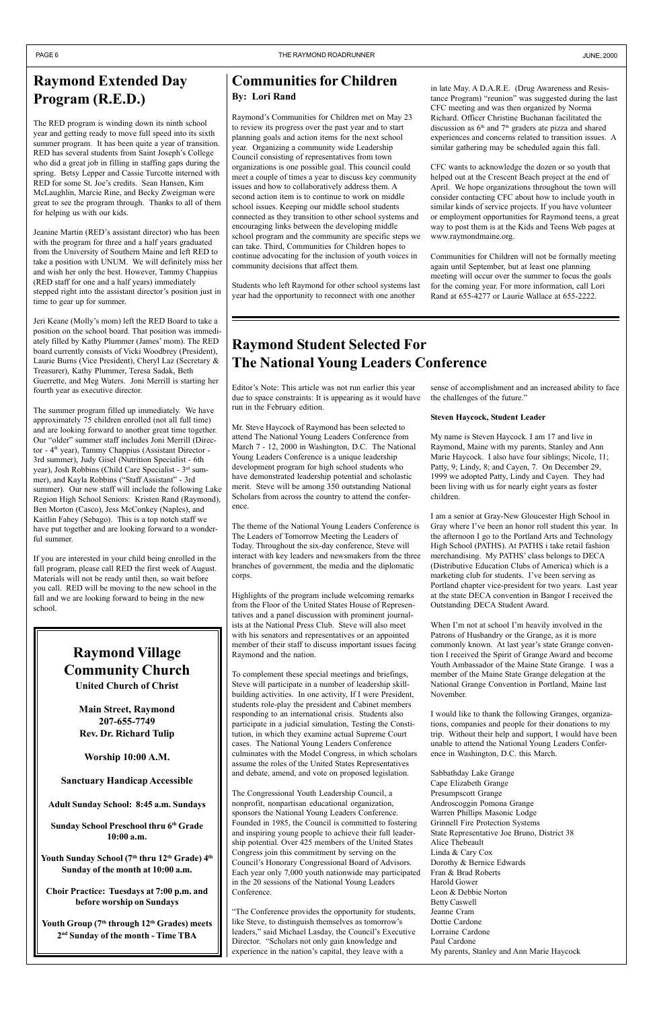## **Raymond Student Selected For The National Young Leaders Conference**

Editor's Note: This article was not run earlier this year due to space constraints: It is appearing as it would have run in the February edition.

Mr. Steve Haycock of Raymond has been selected to attend The National Young Leaders Conference from March 7 - 12, 2000 in Washington, D.C. The National Young Leaders Conference is a unique leadership development program for high school students who have demonstrated leadership potential and scholastic merit. Steve will be among 350 outstanding National Scholars from across the country to attend the conference.

The theme of the National Young Leaders Conference is The Leaders of Tomorrow Meeting the Leaders of Today. Throughout the six-day conference, Steve will interact with key leaders and newsmakers from the three branches of government, the media and the diplomatic corps.

Highlights of the program include welcoming remarks from the Floor of the United States House of Representatives and a panel discussion with prominent journalists at the National Press Club. Steve will also meet with his senators and representatives or an appointed member of their staff to discuss important issues facing Raymond and the nation.

sense of accomplishment and an increased ability to face the challenges of the future."

To complement these special meetings and briefings, Steve will participate in a number of leadership skillbuilding activities. In one activity, If I were President, students role-play the president and Cabinet members responding to an international crisis. Students also participate in a judicial simulation, Testing the Constitution, in which they examine actual Supreme Court cases. The National Young Leaders Conference culminates with the Model Congress, in which scholars assume the roles of the United States Representatives and debate, amend, and vote on proposed legislation.

When I'm not at school I'm heavily involved in the Patrons of Husbandry or the Grange, as it is more commonly known. At last year's state Grange convention I received the Spirit of Grange Award and become Youth Ambassador of the Maine State Grange. I was a member of the Maine State Grange delegation at the National Grange Convention in Portland, Maine last November.

The Congressional Youth Leadership Council, a nonprofit, nonpartisan educational organization, sponsors the National Young Leaders Conference. Founded in 1985, the Council is committed to fostering and inspiring young people to achieve their full leadership potential. Over 425 members of the United States Congress join this commitment by serving on the Council's Honorary Congressional Board of Advisors. Each year only 7,000 youth nationwide may participated in the 20 sessions of the National Young Leaders Conference.

"The Conference provides the opportunity for students, like Steve, to distinguish themselves as tomorrow's leaders," said Michael Lasday, the Council's Executive Director. "Scholars not only gain knowledge and experience in the nation's capital, they leave with a

#### **Steven Haycock, Student Leader**

Jeanine Martin (RED's assistant director) who has been with the program for three and a half years graduated from the University of Southern Maine and left RED to take a position with UNUM. We will definitely miss her and wish her only the best. However, Tammy Chappius (RED staff for one and a half years) immediately stepped right into the assistant director's position just in time to gear up for summer.

> My name is Steven Haycock. I am 17 and live in Raymond, Maine with my parents, Stanley and Ann Marie Haycock. I also have four siblings; Nicole, 11; Patty, 9; Lindy, 8; and Cayen, 7. On December 29, 1999 we adopted Patty, Lindy and Cayen. They had been living with us for nearly eight years as foster children.

Jeri Keane (Molly's mom) left the RED Board to take a position on the school board. That position was immediately filled by Kathy Plummer (James' mom). The RED board currently consists of Vicki Woodbrey (President), Laurie Burns (Vice President), Cheryl Laz (Secretary & Treasurer), Kathy Plummer, Teresa Sadak, Beth Guerrette, and Meg Waters. Joni Merrill is starting her fourth year as executive director.

> I am a senior at Gray-New Gloucester High School in Gray where I've been an honor roll student this year. In the afternoon I go to the Portland Arts and Technology High School (PATHS). At PATHS i take retail fashion merchandising. My PATHS' class belongs to DECA (Distributive Education Clubs of America) which is a marketing club for students. I've been serving as Portland chapter vice-president for two years. Last year at the state DECA convention in Bangor I received the Outstanding DECA Student Award.

Raymond's Communities for Children met on May 23 to review its progress over the past year and to start planning goals and action items for the next school year. Organizing a community wide Leadership Council consisting of representatives from town organizations is one possible goal. This council could meet a couple of times a year to discuss key community issues and how to collaboratively address them. A second action item is to continue to work on middle school issues. Keeping our middle school students connected as they transition to other school systems and encouraging links between the developing middle school program and the community are specific steps we can take. Third, Communities for Children hopes to continue advocating for the inclusion of youth voices in community decisions that affect them.

> I would like to thank the following Granges, organizations, companies and people for their donations to my trip. Without their help and support, I would have been

unable to attend the National Young Leaders Conference in Washington, D.C. this March.

Sabbathday Lake Grange Cape Elizabeth Grange Presumpscott Grange Androscoggin Pomona Grange Warren Phillips Masonic Lodge Grinnell Fire Protection Systems State Representative Joe Bruno, District 38 Alice Thebeault Linda & Cary Cox Dorothy & Bernice Edwards Fran & Brad Roberts Harold Gower Leon & Debbie Norton Betty Caswell Jeanne Cram Dottie Cardone Lorraine Cardone Paul Cardone My parents, Stanley and Ann Marie Haycock

Youth Sunday School (7<sup>th</sup> thru 12<sup>th</sup> Grade) 4<sup>th</sup> **Sunday of the month at 10:00 a.m.**

## **Raymond Extended Day Program (R.E.D.)**

Youth Group (7<sup>th</sup> through 12<sup>th</sup> Grades) meets **2nd Sunday of the month - Time TBA**

The RED program is winding down its ninth school year and getting ready to move full speed into its sixth summer program. It has been quite a year of transition. RED has several students from Saint Joseph's College who did a great job in filling in staffing gaps during the spring. Betsy Lepper and Cassie Turcotte interned with RED for some St. Joe's credits. Sean Hansen, Kim McLaughlin, Marcie Rine, and Becky Zweigman were great to see the program through. Thanks to all of them for helping us with our kids.

The summer program filled up immediately. We have approximately 75 children enrolled (not all full time) and are looking forward to another great time together. Our "older" summer staff includes Joni Merrill (Director -  $4<sup>th</sup>$  year), Tammy Chappius (Assistant Director -3rd summer), Judy Gisel (Nutrition Specialist - 6th year), Josh Robbins (Child Care Specialist - 3rd summer), and Kayla Robbins ("Staff Assistant" - 3rd summer). Our new staff will include the following Lake Region High School Seniors: Kristen Rand (Raymond), Ben Morton (Casco), Jess McConkey (Naples), and Kaitlin Fahey (Sebago). This is a top notch staff we have put together and are looking forward to a wonderful summer.

If you are interested in your child being enrolled in the fall program, please call RED the first week of August. Materials will not be ready until then, so wait before you call. RED will be moving to the new school in the fall and we are looking forward to being in the new school.

### **Communities for Children By: Lori Rand**

Students who left Raymond for other school systems last year had the opportunity to reconnect with one another

in late May. A D.A.R.E. (Drug Awareness and Resistance Program) "reunion" was suggested during the last CFC meeting and was then organized by Norma Richard. Officer Christine Buchanan facilitated the discussion as  $6<sup>th</sup>$  and  $7<sup>th</sup>$  graders ate pizza and shared experiences and concerns related to transition issues. A similar gathering may be scheduled again this fall.

CFC wants to acknowledge the dozen or so youth that helped out at the Crescent Beach project at the end of April. We hope organizations throughout the town will consider contacting CFC about how to include youth in similar kinds of service projects. If you have volunteer or employment opportunities for Raymond teens, a great way to post them is at the Kids and Teens Web pages at www.raymondmaine.org.

Communities for Children will not be formally meeting again until September, but at least one planning meeting will occur over the summer to focus the goals for the coming year. For more information, call Lori Rand at 655-4277 or Laurie Wallace at 655-2222.

### **Raymond Village Community Church United Church of Christ**

**Main Street, Raymond 207-655-7749 Rev. Dr. Richard Tulip**

**Worship 10:00 A.M.**

**Sanctuary Handicap Accessible**

**Adult Sunday School: 8:45 a.m. Sundays**

**Sunday School Preschool thru 6th Grade 10:00 a.m.**

**Choir Practice: Tuesdays at 7:00 p.m. and before worship on Sundays**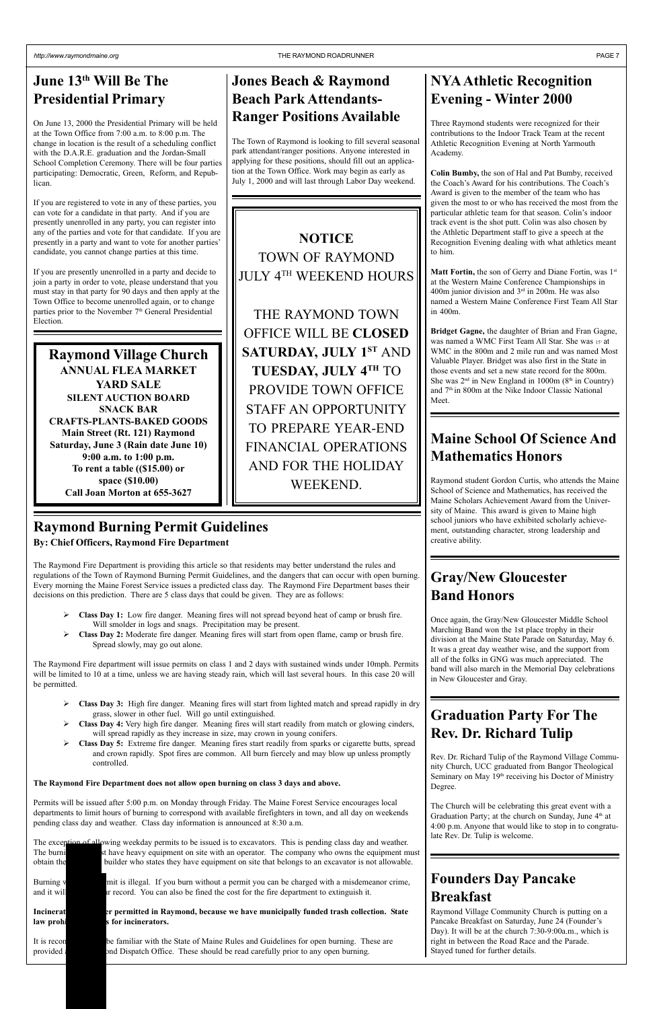## **Raymond Burning Permit Guidelines**

#### **By: Chief Officers, Raymond Fire Department**

The Raymond Fire Department is providing this article so that residents may better understand the rules and regulations of the Town of Raymond Burning Permit Guidelines, and the dangers that can occur with open burning. Every morning the Maine Forest Service issues a predicted class day. The Raymond Fire Department bases their decisions on this prediction. There are 5 class days that could be given. They are as follows:

- **Class Day 3:** High fire danger. Meaning fires will start from lighted match and spread rapidly in dry grass, slower in other fuel. Will go until extinguished.
- **Class Day 4:** Very high fire danger. Meaning fires will start readily from match or glowing cinders, will spread rapidly as they increase in size, may crown in young conifers.
- 
- **Class Day 1:** Low fire danger. Meaning fires will not spread beyond heat of camp or brush fire. Will smolder in logs and snags. Precipitation may be present.
- **Class Day 2:** Moderate fire danger. Meaning fires will start from open flame, camp or brush fire. Spread slowly, may go out alone.

The Raymond Fire department will issue permits on class 1 and 2 days with sustained winds under 10mph. Permits will be limited to 10 at a time, unless we are having steady rain, which will last several hours. In this case 20 will be permitted.

The exception of allowing weekday permits to be issued is to excavators. This is pending class day and weather. The burnist have heavy equipment on site with an operator. The company who owns the equipment must obtain the permit builder who states they have equipment on site that belongs to an excavator is not allowable.

Burning w mit is illegal. If you burn without a permit you can be charged with a misdemeanor crime, and it will stay on your record. You can also be fined the cost for the fire department to extinguish it.

**Incinerat are never permitted in Raymond, because we have municipally funded trash collection. State law prohimics is for incinerators.** 

It is recon be familiar with the State of Maine Rules and Guidelines for open burning. These are provided a the Raymond Dispatch Office. These should be read carefully prior to any open burning.

 **Class Day 5:** Extreme fire danger. Meaning fires start readily from sparks or cigarette butts, spread and crown rapidly. Spot fires are common. All burn fiercely and may blow up unless promptly controlled.

#### **The Raymond Fire Department does not allow open burning on class 3 days and above.**

Permits will be issued after 5:00 p.m. on Monday through Friday. The Maine Forest Service encourages local departments to limit hours of burning to correspond with available firefighters in town, and all day on weekends pending class day and weather. Class day information is announced at 8:30 a.m.

Matt Fortin, the son of Gerry and Diane Fortin, was 1<sup>st</sup> at the Western Maine Conference Championships in 400m junior division and  $3<sup>rd</sup>$  in 200m. He was also named a Western Maine Conference First Team All Star in 400m.

## **June 13th Will Be The Presidential Primary**

On June 13, 2000 the Presidential Primary will be held at the Town Office from 7:00 a.m. to 8:00 p.m. The change in location is the result of a scheduling conflict with the D.A.R.E. graduation and the Jordan-Small School Completion Ceremony. There will be four parties participating: Democratic, Green, Reform, and Republican.

If you are registered to vote in any of these parties, you can vote for a candidate in that party. And if you are presently unenrolled in any party, you can register into any of the parties and vote for that candidate. If you are presently in a party and want to vote for another parties' candidate, you cannot change parties at this time.

If you are presently unenrolled in a party and decide to join a party in order to vote, please understand that you must stay in that party for 90 days and then apply at the Town Office to become unenrolled again, or to change parties prior to the November  $7<sup>th</sup>$  General Presidential Election.

## **Jones Beach & Raymond Beach Park Attendants-Ranger Positions Available**

The Town of Raymond is looking to fill several seasonal park attendant/ranger positions. Anyone interested in applying for these positions, should fill out an application at the Town Office. Work may begin as early as July 1, 2000 and will last through Labor Day weekend.

## **NOTICE** TOWN OF RAYMOND JULY 4TH WEEKEND HOURS

THE RAYMOND TOWN OFFICE WILL BE **CLOSED SATURDAY, JULY 1ST AND TUESDAY, JULY 4TH** TO PROVIDE TOWN OFFICE STAFF AN OPPORTUNITY TO PREPARE YEAR-END FINANCIAL OPERATIONS AND FOR THE HOLIDAY WEEKEND.

## **NYA Athletic Recognition Evening - Winter 2000**

Three Raymond students were recognized for their contributions to the Indoor Track Team at the recent Athletic Recognition Evening at North Yarmouth Academy.

**Colin Bumby,** the son of Hal and Pat Bumby, received the Coach's Award for his contributions. The Coach's Award is given to the member of the team who has given the most to or who has received the most from the particular athletic team for that season. Colin's indoor track event is the shot putt. Colin was also chosen by the Athletic Department staff to give a speech at the Recognition Evening dealing with what athletics meant to him.

**Bridget Gagne,** the daughter of Brian and Fran Gagne, was named a WMC First Team All Star. She was 15° at WMC in the 800m and 2 mile run and was named Most Valuable Player. Bridget was also first in the State in those events and set a new state record for the 800m. She was  $2<sup>nd</sup>$  in New England in 1000m ( $8<sup>th</sup>$  in Country) and 7th in 800m at the Nike Indoor Classic National Meet.

## **Maine School Of Science And Mathematics Honors**

Raymond student Gordon Curtis, who attends the Maine School of Science and Mathematics, has received the Maine Scholars Achievement Award from the University of Maine. This award is given to Maine high school juniors who have exhibited scholarly achievement, outstanding character, strong leadership and creative ability.

## **Gray/New Gloucester Band Honors**

Once again, the Gray/New Gloucester Middle School Marching Band won the 1st place trophy in their division at the Maine State Parade on Saturday, May 6. It was a great day weather wise, and the support from all of the folks in GNG was much appreciated. The band will also march in the Memorial Day celebrations in New Gloucester and Gray.

## **Graduation Party For The Rev. Dr. Richard Tulip**

Rev. Dr. Richard Tulip of the Raymond Village Community Church, UCC graduated from Bangor Theological Seminary on May 19<sup>th</sup> receiving his Doctor of Ministry Degree.

The Church will be celebrating this great event with a Graduation Party; at the church on Sunday, June 4<sup>th</sup> at 4:00 p.m. Anyone that would like to stop in to congratulate Rev. Dr. Tulip is welcome.

**Raymond Village Church ANNUAL FLEA MARKET YARD SALE SILENT AUCTION BOARD SNACK BAR CRAFTS-PLANTS-BAKED GOODS Main Street (Rt. 121) Raymond Saturday, June 3 (Rain date June 10) 9:00 a.m. to 1:00 p.m. To rent a table ((\$15.00) or space (\$10.00) Call Joan Morton at 655-3627**

## **Founders Day Pancake Breakfast**

Raymond Village Community Church is putting on a Pancake Breakfast on Saturday, June 24 (Founder's Day). It will be at the church 7:30-9:00a.m., which is right in between the Road Race and the Parade. Stayed tuned for further details.